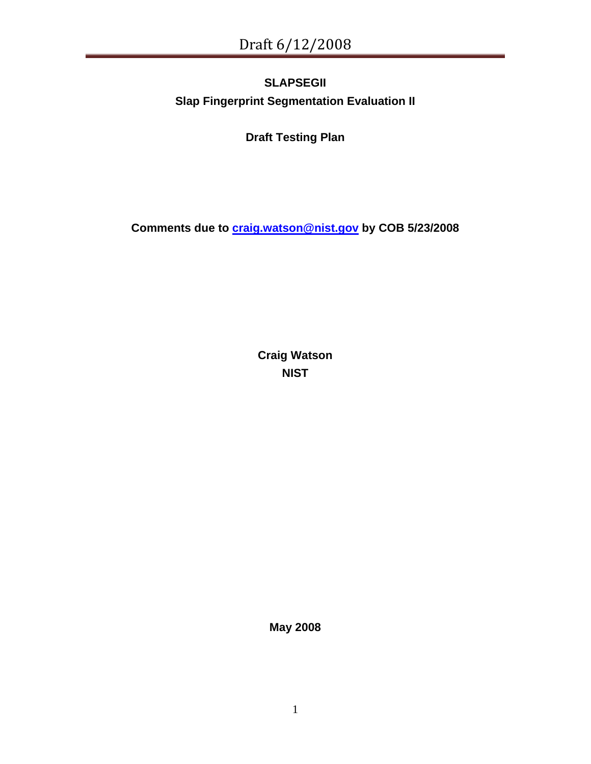# **SLAPSEGII Slap Fingerprint Segmentation Evaluation II**

**Draft Testing Plan** 

**Comments due to [craig.watson@nist.gov](mailto:craig.watson@nist.gov) by COB 5/23/2008** 

**Craig Watson NIST** 

**May 2008**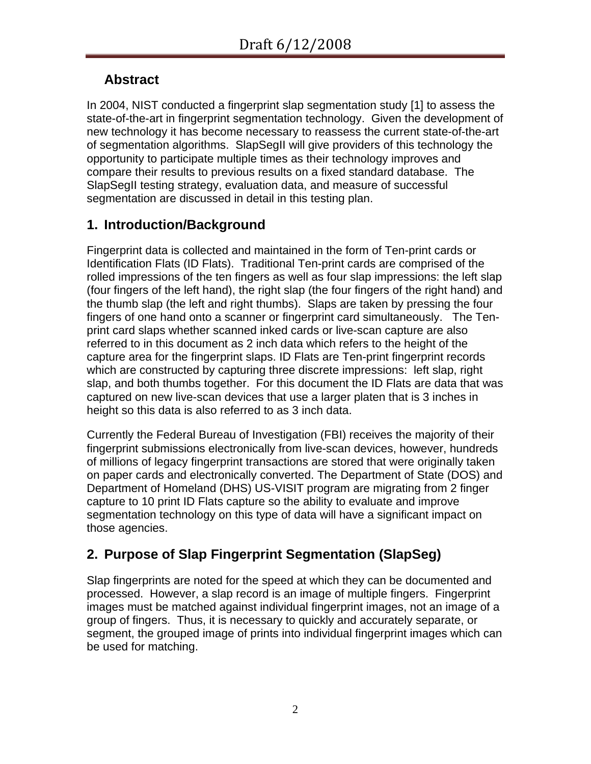# **Abstract**

In 2004, NIST conducted a fingerprint slap segmentation study [[1\]](#page-22-0) to assess the state-of-the-art in fingerprint segmentation technology. Given the development of new technology it has become necessary to reassess the current state-of-the-art of segmentation algorithms. SlapSegII will give providers of this technology the opportunity to participate multiple times as their technology improves and compare their results to previous results on a fixed standard database. The SlapSegII testing strategy, evaluation data, and measure of successful segmentation are discussed in detail in this testing plan.

# **1. Introduction/Background**

Fingerprint data is collected and maintained in the form of Ten-print cards or Identification Flats (ID Flats). Traditional Ten-print cards are comprised of the rolled impressions of the ten fingers as well as four slap impressions: the left slap (four fingers of the left hand), the right slap (the four fingers of the right hand) and the thumb slap (the left and right thumbs). Slaps are taken by pressing the four fingers of one hand onto a scanner or fingerprint card simultaneously. The Tenprint card slaps whether scanned inked cards or live-scan capture are also referred to in this document as 2 inch data which refers to the height of the capture area for the fingerprint slaps. ID Flats are Ten-print fingerprint records which are constructed by capturing three discrete impressions: left slap, right slap, and both thumbs together. For this document the ID Flats are data that was captured on new live-scan devices that use a larger platen that is 3 inches in height so this data is also referred to as 3 inch data.

Currently the Federal Bureau of Investigation (FBI) receives the majority of their fingerprint submissions electronically from live-scan devices, however, hundreds of millions of legacy fingerprint transactions are stored that were originally taken on paper cards and electronically converted. The Department of State (DOS) and Department of Homeland (DHS) US-VISIT program are migrating from 2 finger capture to 10 print ID Flats capture so the ability to evaluate and improve segmentation technology on this type of data will have a significant impact on those agencies.

# **2. Purpose of Slap Fingerprint Segmentation (SlapSeg)**

Slap fingerprints are noted for the speed at which they can be documented and processed. However, a slap record is an image of multiple fingers. Fingerprint images must be matched against individual fingerprint images, not an image of a group of fingers. Thus, it is necessary to quickly and accurately separate, or segment, the grouped image of prints into individual fingerprint images which can be used for matching.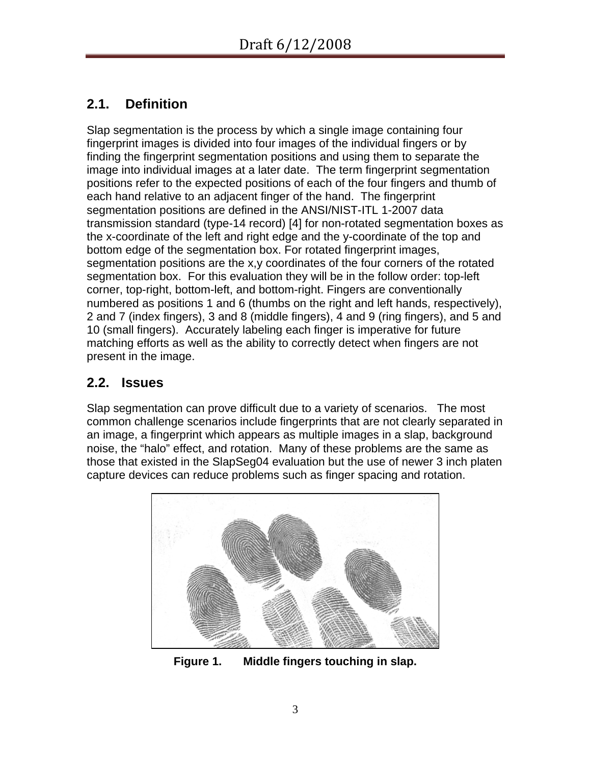# **2.1. Definition**

Slap segmentation is the process by which a single image containing four fingerprint images is divided into four images of the individual fingers or by finding the fingerprint segmentation positions and using them to separate the image into individual images at a later date. The term fingerprint segmentation positions refer to the expected positions of each of the four fingers and thumb of each hand relative to an adjacent finger of the hand. The fingerprint segmentation positions are defined in the ANSI/NIST-ITL 1-2007 data transmission standard (type-14 record) [[4](#page-22-1)] for non-rotated segmentation boxes as the x-coordinate of the left and right edge and the y-coordinate of the top and bottom edge of the segmentation box. For rotated fingerprint images, segmentation positions are the x,y coordinates of the four corners of the rotated segmentation box. For this evaluation they will be in the follow order: top-left corner, top-right, bottom-left, and bottom-right. Fingers are conventionally numbered as positions 1 and 6 (thumbs on the right and left hands, respectively), 2 and 7 (index fingers), 3 and 8 (middle fingers), 4 and 9 (ring fingers), and 5 and 10 (small fingers). Accurately labeling each finger is imperative for future matching efforts as well as the ability to correctly detect when fingers are not present in the image.

# **2.2. Issues**

Slap segmentation can prove difficult due to a variety of scenarios. The most common challenge scenarios include fingerprints that are not clearly separated in an image, a fingerprint which appears as multiple images in a slap, background noise, the "halo" effect, and rotation. Many of these problems are the same as those that existed in the SlapSeg04 evaluation but the use of newer 3 inch platen capture devices can reduce problems such as finger spacing and rotation.

<span id="page-2-0"></span>

**Figure 1. Middle fingers touching in slap.**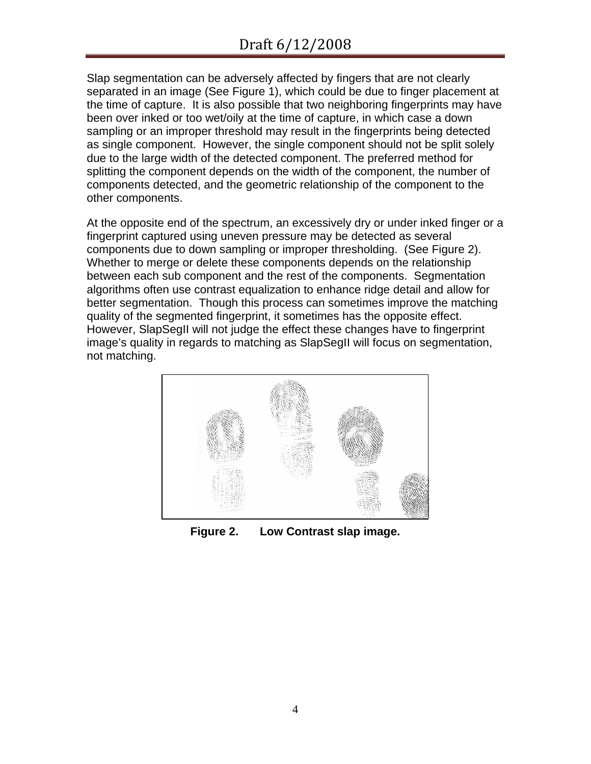Slap segmentation can be adversely affected by fingers that are not clearly separated in an image (See [Figure 1\)](#page-2-0), which could be due to finger placement at the time of capture. It is also possible that two neighboring fingerprints may have been over inked or too wet/oily at the time of capture, in which case a down sampling or an improper threshold may result in the fingerprints being detected as single component. However, the single component should not be split solely due to the large width of the detected component. The preferred method for splitting the component depends on the width of the component, the number of components detected, and the geometric relationship of the component to the other components.

At the opposite end of the spectrum, an excessively dry or under inked finger or a fingerprint captured using uneven pressure may be detected as several components due to down sampling or improper thresholding. (See [Figure 2\)](#page-3-0). Whether to merge or delete these components depends on the relationship between each sub component and the rest of the components. Segmentation algorithms often use contrast equalization to enhance ridge detail and allow for better segmentation. Though this process can sometimes improve the matching quality of the segmented fingerprint, it sometimes has the opposite effect. However, SlapSegII will not judge the effect these changes have to fingerprint image's quality in regards to matching as SlapSegII will focus on segmentation, not matching.

<span id="page-3-0"></span>

**Figure 2. Low Contrast slap image.**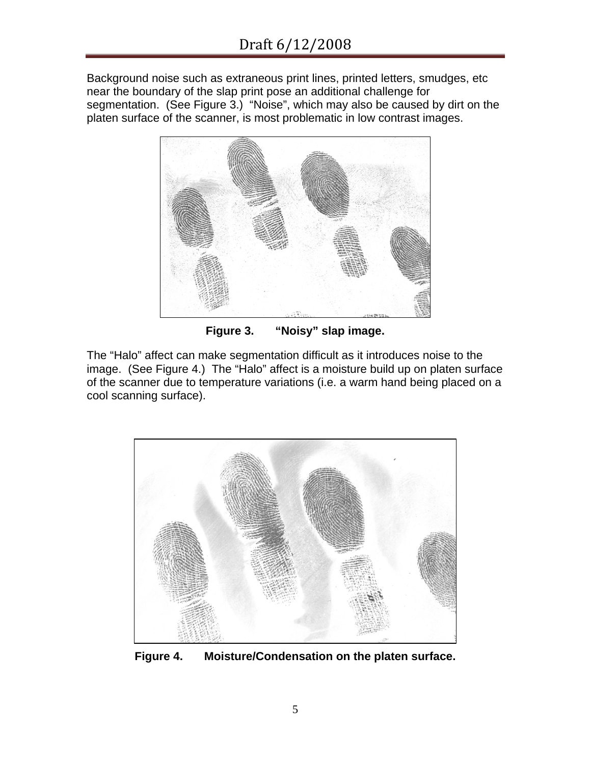Background noise such as extraneous print lines, printed letters, smudges, etc near the boundary of the slap print pose an additional challenge for segmentation. (See [Figure 3.](#page-4-0)) "Noise", which may also be caused by dirt on the platen surface of the scanner, is most problematic in low contrast images.



**Figure 3. "Noisy" slap image.** 

<span id="page-4-0"></span>The "Halo" affect can make segmentation difficult as it introduces noise to the image. (See [Figure 4](#page-4-1).) The "Halo" affect is a moisture build up on platen surface of the scanner due to temperature variations (i.e. a warm hand being placed on a cool scanning surface).

<span id="page-4-1"></span>

**Figure 4. Moisture/Condensation on the platen surface.**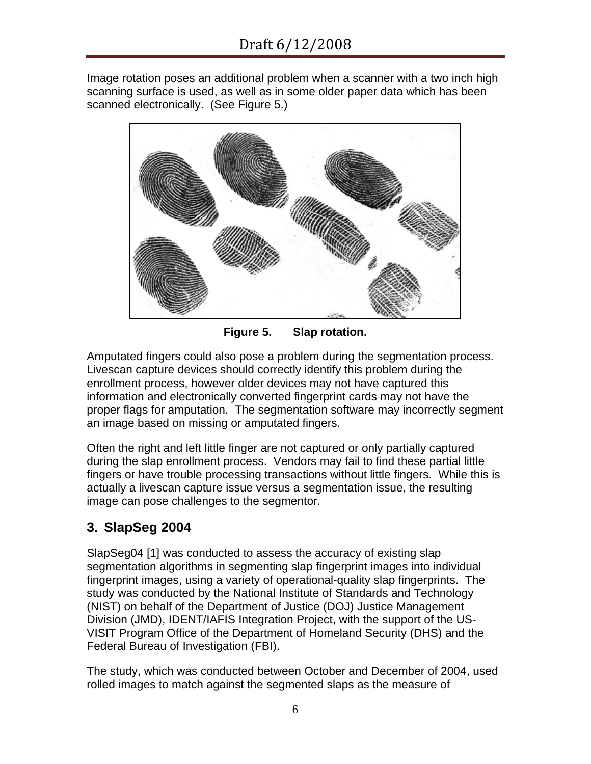Image rotation poses an additional problem when a scanner with a two inch high scanning surface is used, as well as in some older paper data which has been scanned electronically. (See [Figure 5.](#page-5-0))



**Figure 5. Slap rotation.** 

<span id="page-5-0"></span>Amputated fingers could also pose a problem during the segmentation process. Livescan capture devices should correctly identify this problem during the enrollment process, however older devices may not have captured this information and electronically converted fingerprint cards may not have the proper flags for amputation. The segmentation software may incorrectly segment an image based on missing or amputated fingers.

Often the right and left little finger are not captured or only partially captured during the slap enrollment process. Vendors may fail to find these partial little fingers or have trouble processing transactions without little fingers. While this is actually a livescan capture issue versus a segmentation issue, the resulting image can pose challenges to the segmentor.

# **3. SlapSeg 2004**

SlapSeg04 [\[1](#page-22-0)] was conducted to assess the accuracy of existing slap segmentation algorithms in segmenting slap fingerprint images into individual fingerprint images, using a variety of operational-quality slap fingerprints. The study was conducted by the National Institute of Standards and Technology (NIST) on behalf of the Department of Justice (DOJ) Justice Management Division (JMD), IDENT/IAFIS Integration Project, with the support of the US-VISIT Program Office of the Department of Homeland Security (DHS) and the Federal Bureau of Investigation (FBI).

The study, which was conducted between October and December of 2004, used rolled images to match against the segmented slaps as the measure of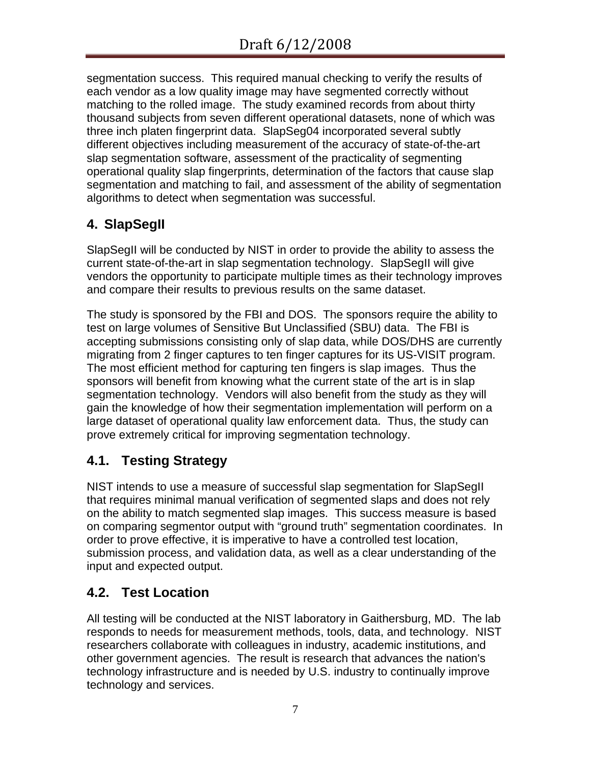segmentation success. This required manual checking to verify the results of each vendor as a low quality image may have segmented correctly without matching to the rolled image. The study examined records from about thirty thousand subjects from seven different operational datasets, none of which was three inch platen fingerprint data. SlapSeg04 incorporated several subtly different objectives including measurement of the accuracy of state-of-the-art slap segmentation software, assessment of the practicality of segmenting operational quality slap fingerprints, determination of the factors that cause slap segmentation and matching to fail, and assessment of the ability of segmentation algorithms to detect when segmentation was successful.

# <span id="page-6-0"></span>**4. SlapSegII**

SlapSegII will be conducted by NIST in order to provide the ability to assess the current state-of-the-art in slap segmentation technology. SlapSegII will give vendors the opportunity to participate multiple times as their technology improves and compare their results to previous results on the same dataset.

The study is sponsored by the FBI and DOS. The sponsors require the ability to test on large volumes of Sensitive But Unclassified (SBU) data. The FBI is accepting submissions consisting only of slap data, while DOS/DHS are currently migrating from 2 finger captures to ten finger captures for its US-VISIT program. The most efficient method for capturing ten fingers is slap images. Thus the sponsors will benefit from knowing what the current state of the art is in slap segmentation technology. Vendors will also benefit from the study as they will gain the knowledge of how their segmentation implementation will perform on a large dataset of operational quality law enforcement data. Thus, the study can prove extremely critical for improving segmentation technology.

# **4.1. Testing Strategy**

NIST intends to use a measure of successful slap segmentation for SlapSegII that requires minimal manual verification of segmented slaps and does not rely on the ability to match segmented slap images. This success measure is based on comparing segmentor output with "ground truth" segmentation coordinates. In order to prove effective, it is imperative to have a controlled test location, submission process, and validation data, as well as a clear understanding of the input and expected output.

# **4.2. Test Location**

All testing will be conducted at the NIST laboratory in Gaithersburg, MD. The lab responds to needs for measurement methods, tools, data, and technology. NIST researchers collaborate with colleagues in industry, academic institutions, and other government agencies. The result is research that advances the nation's technology infrastructure and is needed by U.S. industry to continually improve technology and services.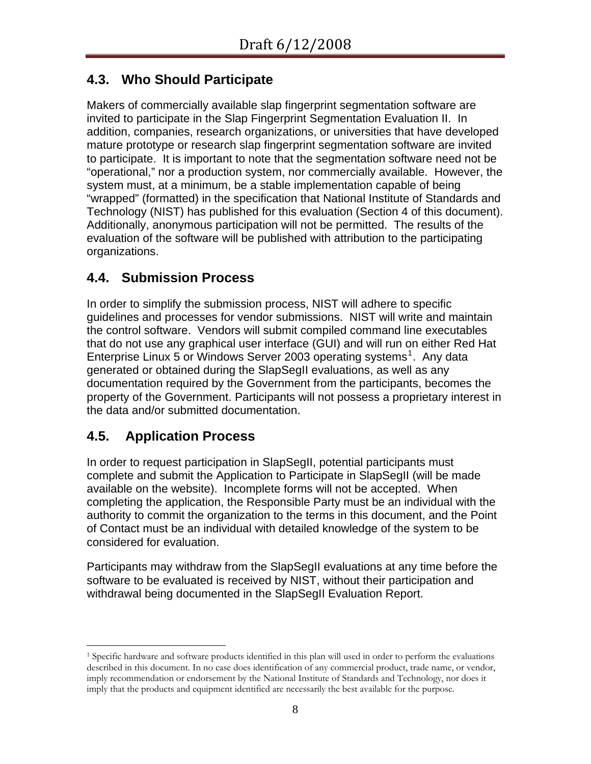# **4.3. Who Should Participate**

Makers of commercially available slap fingerprint segmentation software are invited to participate in the Slap Fingerprint Segmentation Evaluation II. In addition, companies, research organizations, or universities that have developed mature prototype or research slap fingerprint segmentation software are invited to participate. It is important to note that the segmentation software need not be "operational," nor a production system, nor commercially available. However, the system must, at a minimum, be a stable implementation capable of being "wrapped" (formatted) in the specification that National Institute of Standards and Technology (NIST) has published for this evaluation (Section [4](#page-6-0) of this document). Additionally, anonymous participation will not be permitted. The results of the evaluation of the software will be published with attribution to the participating organizations.

# **4.4. Submission Process**

In order to simplify the submission process, NIST will adhere to specific guidelines and processes for vendor submissions. NIST will write and maintain the control software. Vendors will submit compiled command line executables that do not use any graphical user interface (GUI) and will run on either Red Hat Enterprise Linux 5 or Windows Server 2003 operating systems<sup>[1](#page-7-0)</sup>. Any data generated or obtained during the SlapSegII evaluations, as well as any documentation required by the Government from the participants, becomes the property of the Government. Participants will not possess a proprietary interest in the data and/or submitted documentation.

# **4.5. Application Process**

In order to request participation in SlapSegII, potential participants must complete and submit the Application to Participate in SlapSegII (will be made available on the website). Incomplete forms will not be accepted. When completing the application, the Responsible Party must be an individual with the authority to commit the organization to the terms in this document, and the Point of Contact must be an individual with detailed knowledge of the system to be considered for evaluation.

Participants may withdraw from the SlapSegII evaluations at any time before the software to be evaluated is received by NIST, without their participation and withdrawal being documented in the SlapSegII Evaluation Report.

<span id="page-7-0"></span> $\overline{a}$ 1 Specific hardware and software products identified in this plan will used in order to perform the evaluations described in this document. In no case does identification of any commercial product, trade name, or vendor, imply recommendation or endorsement by the National Institute of Standards and Technology, nor does it imply that the products and equipment identified are necessarily the best available for the purpose.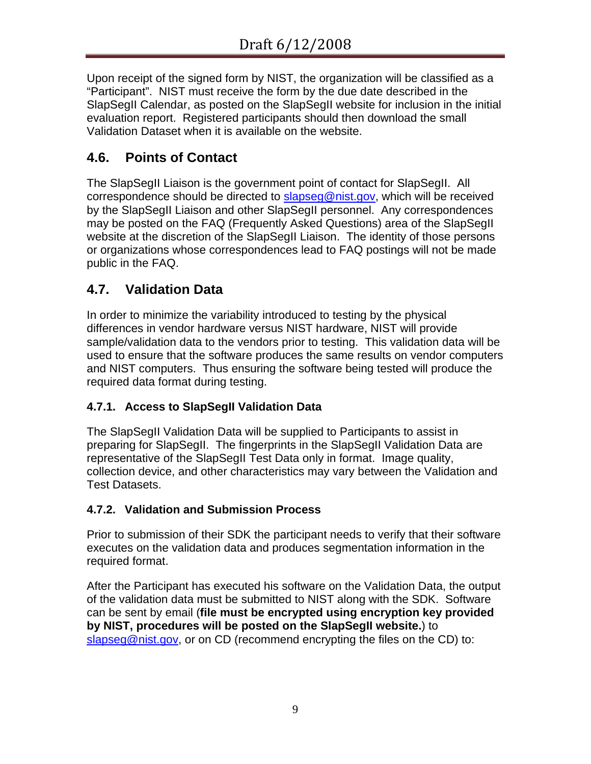Upon receipt of the signed form by NIST, the organization will be classified as a "Participant". NIST must receive the form by the due date described in the SlapSegII Calendar, as posted on the SlapSegII website for inclusion in the initial evaluation report. Registered participants should then download the small Validation Dataset when it is available on the website.

# **4.6. Points of Contact**

The SlapSegII Liaison is the government point of contact for SlapSegII. All correspondence should be directed to [slapseg@nist.gov](mailto:slapseg@nist.gov), which will be received by the SlapSegII Liaison and other SlapSegII personnel. Any correspondences may be posted on the FAQ (Frequently Asked Questions) area of the SlapSegII website at the discretion of the SlapSegII Liaison. The identity of those persons or organizations whose correspondences lead to FAQ postings will not be made public in the FAQ.

# **4.7. Validation Data**

In order to minimize the variability introduced to testing by the physical differences in vendor hardware versus NIST hardware, NIST will provide sample/validation data to the vendors prior to testing. This validation data will be used to ensure that the software produces the same results on vendor computers and NIST computers. Thus ensuring the software being tested will produce the required data format during testing.

# **4.7.1. Access to SlapSegII Validation Data**

The SlapSegII Validation Data will be supplied to Participants to assist in preparing for SlapSegII. The fingerprints in the SlapSegII Validation Data are representative of the SlapSegII Test Data only in format. Image quality, collection device, and other characteristics may vary between the Validation and Test Datasets.

## **4.7.2. Validation and Submission Process**

Prior to submission of their SDK the participant needs to verify that their software executes on the validation data and produces segmentation information in the required format.

After the Participant has executed his software on the Validation Data, the output of the validation data must be submitted to NIST along with the SDK. Software can be sent by email (**file must be encrypted using encryption key provided by NIST, procedures will be posted on the SlapSegII website.**) to [slapseg@nist.gov,](mailto:slapseg@nist.gov) or on CD (recommend encrypting the files on the CD) to: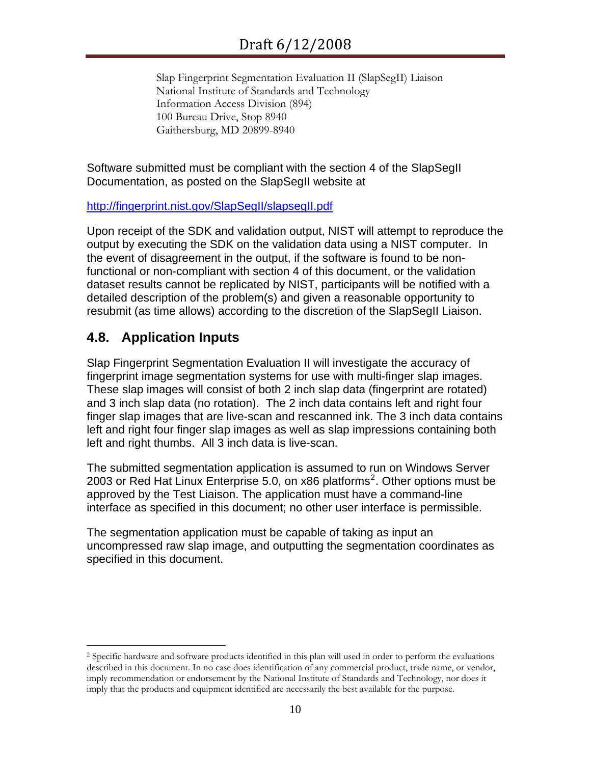Slap Fingerprint Segmentation Evaluation II (SlapSegII) Liaison National Institute of Standards and Technology Information Access Division (894) 100 Bureau Drive, Stop 8940 Gaithersburg, MD 20899-8940

Software submitted must be compliant with the section [4](#page-6-0) of the SlapSegII Documentation, as posted on the SlapSegII website at

#### <http://fingerprint.nist.gov/SlapSegII/slapsegII.pdf>

Upon receipt of the SDK and validation output, NIST will attempt to reproduce the output by executing the SDK on the validation data using a NIST computer. In the event of disagreement in the output, if the software is found to be nonfunctional or non-compliant with section [4](#page-6-0) of this document, or the validation dataset results cannot be replicated by NIST, participants will be notified with a detailed description of the problem(s) and given a reasonable opportunity to resubmit (as time allows) according to the discretion of the SlapSegII Liaison.

## **4.8. Application Inputs**

 $\overline{a}$ 

Slap Fingerprint Segmentation Evaluation II will investigate the accuracy of fingerprint image segmentation systems for use with multi-finger slap images. These slap images will consist of both 2 inch slap data (fingerprint are rotated) and 3 inch slap data (no rotation). The 2 inch data contains left and right four finger slap images that are live-scan and rescanned ink. The 3 inch data contains left and right four finger slap images as well as slap impressions containing both left and right thumbs. All 3 inch data is live-scan.

The submitted segmentation application is assumed to run on Windows Server [2](#page-9-0)003 or Red Hat Linux Enterprise 5.0, on x86 platforms<sup>2</sup>. Other options must be approved by the Test Liaison. The application must have a command-line interface as specified in this document; no other user interface is permissible.

The segmentation application must be capable of taking as input an uncompressed raw slap image, and outputting the segmentation coordinates as specified in this document.

<span id="page-9-0"></span><sup>2</sup> Specific hardware and software products identified in this plan will used in order to perform the evaluations described in this document. In no case does identification of any commercial product, trade name, or vendor, imply recommendation or endorsement by the National Institute of Standards and Technology, nor does it imply that the products and equipment identified are necessarily the best available for the purpose.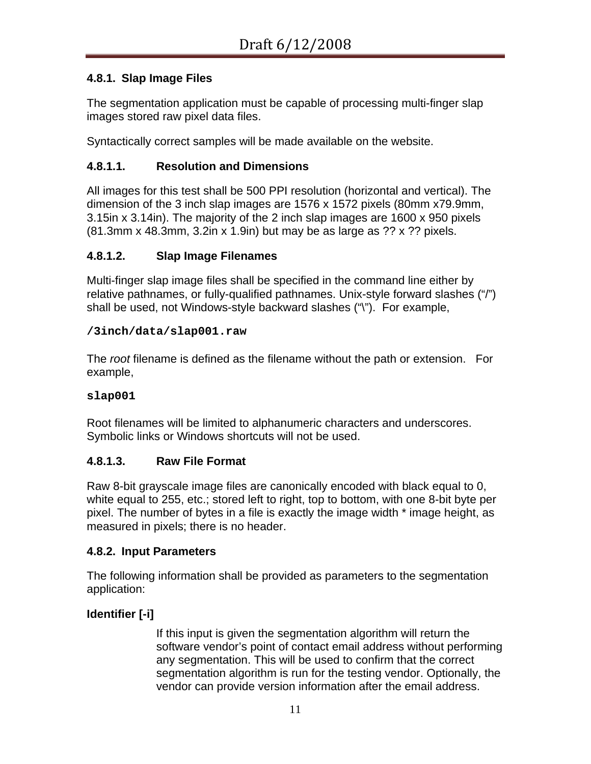### **4.8.1. Slap Image Files**

The segmentation application must be capable of processing multi-finger slap images stored raw pixel data files.

Syntactically correct samples will be made available on the website.

#### **4.8.1.1. Resolution and Dimensions**

All images for this test shall be 500 PPI resolution (horizontal and vertical). The dimension of the 3 inch slap images are 1576 x 1572 pixels (80mm x79.9mm, 3.15in x 3.14in). The majority of the 2 inch slap images are 1600 x 950 pixels (81.3mm x 48.3mm, 3.2in x 1.9in) but may be as large as ?? x ?? pixels.

#### **4.8.1.2. Slap Image Filenames**

Multi-finger slap image files shall be specified in the command line either by relative pathnames, or fully-qualified pathnames. Unix-style forward slashes ("/") shall be used, not Windows-style backward slashes ("\"). For example,

#### **/3inch/data/slap001.raw**

The *root* filename is defined as the filename without the path or extension. For example,

#### **slap001**

Root filenames will be limited to alphanumeric characters and underscores. Symbolic links or Windows shortcuts will not be used.

#### **4.8.1.3. Raw File Format**

Raw 8-bit grayscale image files are canonically encoded with black equal to 0, white equal to 255, etc.; stored left to right, top to bottom, with one 8-bit byte per pixel. The number of bytes in a file is exactly the image width \* image height, as measured in pixels; there is no header.

#### **4.8.2. Input Parameters**

The following information shall be provided as parameters to the segmentation application:

#### **Identifier [-i]**

If this input is given the segmentation algorithm will return the software vendor's point of contact email address without performing any segmentation. This will be used to confirm that the correct segmentation algorithm is run for the testing vendor. Optionally, the vendor can provide version information after the email address.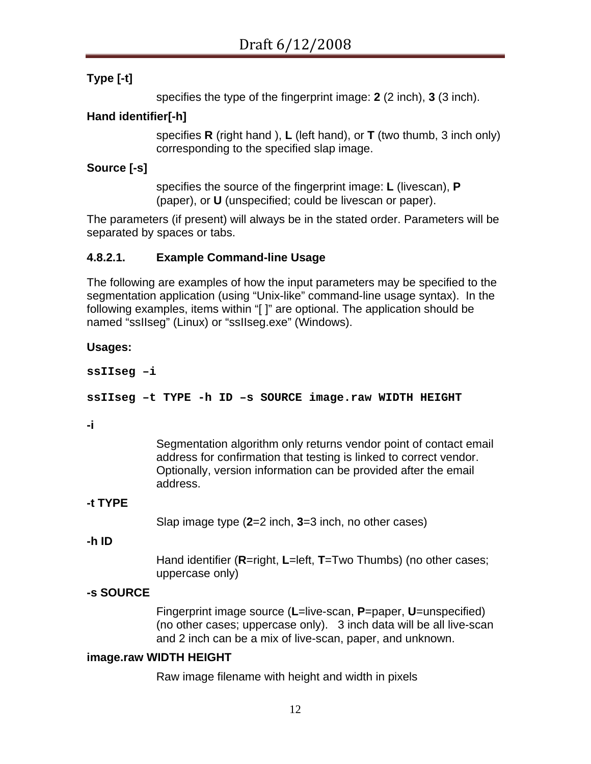### **Type [-t]**

specifies the type of the fingerprint image: **2** (2 inch), **3** (3 inch).

#### **Hand identifier[-h]**

specifies **R** (right hand ), **L** (left hand), or **T** (two thumb, 3 inch only) corresponding to the specified slap image.

#### **Source [-s]**

specifies the source of the fingerprint image: **L** (livescan), **P** (paper), or **U** (unspecified; could be livescan or paper).

The parameters (if present) will always be in the stated order. Parameters will be separated by spaces or tabs.

#### **4.8.2.1. Example Command-line Usage**

The following are examples of how the input parameters may be specified to the segmentation application (using "Unix-like" command-line usage syntax). In the following examples, items within "[ ]" are optional. The application should be named "ssIIseg" (Linux) or "ssIIseg.exe" (Windows).

#### **Usages:**

**ssIIseg –i** 

#### **ssIIseg –t TYPE -h ID –s SOURCE image.raw WIDTH HEIGHT**

#### **-i**

Segmentation algorithm only returns vendor point of contact email address for confirmation that testing is linked to correct vendor. Optionally, version information can be provided after the email address.

#### **-t TYPE**

Slap image type (**2**=2 inch, **3**=3 inch, no other cases)

#### **-h ID**

Hand identifier (**R**=right, **L**=left, **T**=Two Thumbs) (no other cases; uppercase only)

#### **-s SOURCE**

Fingerprint image source (**L**=live-scan, **P**=paper, **U**=unspecified) (no other cases; uppercase only). 3 inch data will be all live-scan and 2 inch can be a mix of live-scan, paper, and unknown.

#### **image.raw WIDTH HEIGHT**

Raw image filename with height and width in pixels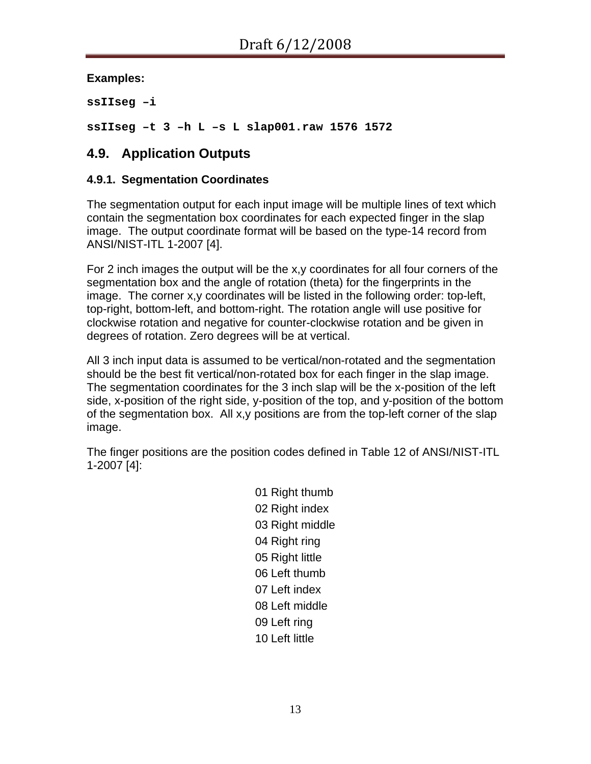**Examples:** 

**ssIIseg –i** 

**ssIIseg –t 3 –h L –s L slap001.raw 1576 1572** 

## **4.9. Application Outputs**

#### <span id="page-12-0"></span>**4.9.1. Segmentation Coordinates**

The segmentation output for each input image will be multiple lines of text which contain the segmentation box coordinates for each expected finger in the slap image. The output coordinate format will be based on the type-14 record from ANSI/NIST-ITL 1-2007 [\[4](#page-22-1)].

For 2 inch images the output will be the x,y coordinates for all four corners of the segmentation box and the angle of rotation (theta) for the fingerprints in the image. The corner x,y coordinates will be listed in the following order: top-left, top-right, bottom-left, and bottom-right. The rotation angle will use positive for clockwise rotation and negative for counter-clockwise rotation and be given in degrees of rotation. Zero degrees will be at vertical.

All 3 inch input data is assumed to be vertical/non-rotated and the segmentation should be the best fit vertical/non-rotated box for each finger in the slap image. The segmentation coordinates for the 3 inch slap will be the x-position of the left side, x-position of the right side, y-position of the top, and y-position of the bottom of the segmentation box. All x,y positions are from the top-left corner of the slap image.

The finger positions are the position codes defined in Table 12 of ANSI/NIST-ITL 1-2007 [\[4\]](#page-22-1):

> Right thumb Right index Right middle Right ring Right little Left thumb Left index Left middle Left ring Left little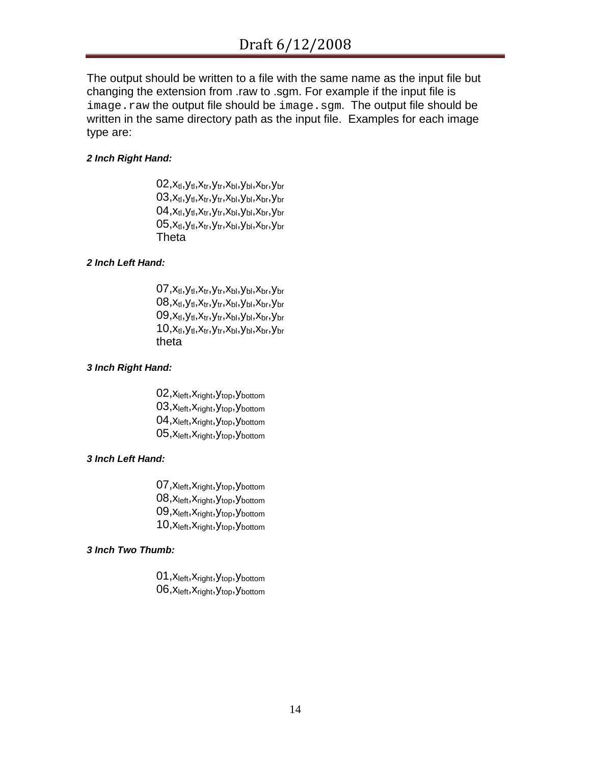The output should be written to a file with the same name as the input file but changing the extension from .raw to .sgm. For example if the input file is image.raw the output file should be image.sgm. The output file should be written in the same directory path as the input file. Examples for each image type are:

#### *2 Inch Right Hand:*

 $02, x_{tl}, y_{tl}, x_{tr}, y_{tr}, x_{bl}, y_{bl}, x_{br}, y_{br}$  $03, x_{tl}, y_{tl}, x_{tr}, y_{tr}, x_{bl}, y_{bl}, x_{br}, y_{br}$  $04, x_{tl}, y_{tl}, x_{tr}, y_{tr}, x_{bl}, y_{bl}, x_{br}, y_{br}$  $05, x_{tl}, y_{tl}, x_{tr}, y_{tr}, x_{bl}, y_{bl}, x_{br}, y_{br}$ Theta

#### *2 Inch Left Hand:*

 $07, x_{tl}, y_{tl}, x_{tr}, y_{tr}, x_{bl}, y_{bl}, x_{br}, y_{br}$  $08, x_{tl}, y_{tl}, x_{tr}, y_{tr}, x_{bl}, y_{bl}, x_{br}, y_{br}$  $09, x_{tl}, y_{tl}, x_{tr}, y_{tr}, x_{bl}, y_{bl}, x_{br}, y_{br}$  $10, x_{tl}, y_{tl}, x_{tr}, y_{tr}, x_{bl}, y_{bl}, x_{br}, y_{br}$ theta

#### *3 Inch Right Hand:*

02, X<sub>left</sub>, X<sub>right</sub>, Y<sub>top</sub>, Y<sub>bottom</sub> 03, X<sub>left</sub>, X<sub>right</sub>, Y<sub>top</sub>, Y<sub>bottom</sub> 04, X<sub>left</sub>, X<sub>right</sub>, Y<sub>top</sub>, Y<sub>bottom</sub> 05, X<sub>left</sub>, X<sub>right</sub>, Y<sub>top</sub>, Y<sub>bottom</sub>

#### *3 Inch Left Hand:*

07, X<sub>left</sub>, X<sub>right</sub>, Y<sub>top</sub>, Y<sub>bottom</sub> 08, X<sub>left</sub>, X<sub>right</sub>, Y<sub>top</sub>, Y<sub>bottom</sub> 09, X<sub>left</sub>, X<sub>right</sub>, Y<sub>top</sub>, Y<sub>bottom</sub> 10, X<sub>left</sub>, X<sub>right</sub>, Y<sub>top</sub>, Y<sub>bottom</sub>

#### *3 Inch Two Thumb:*

01, X<sub>left</sub>, X<sub>right</sub>, Y<sub>top</sub>, Y<sub>bottom</sub> 06, X<sub>left</sub>, X<sub>right</sub>, Y<sub>top</sub>, Y<sub>bottom</sub>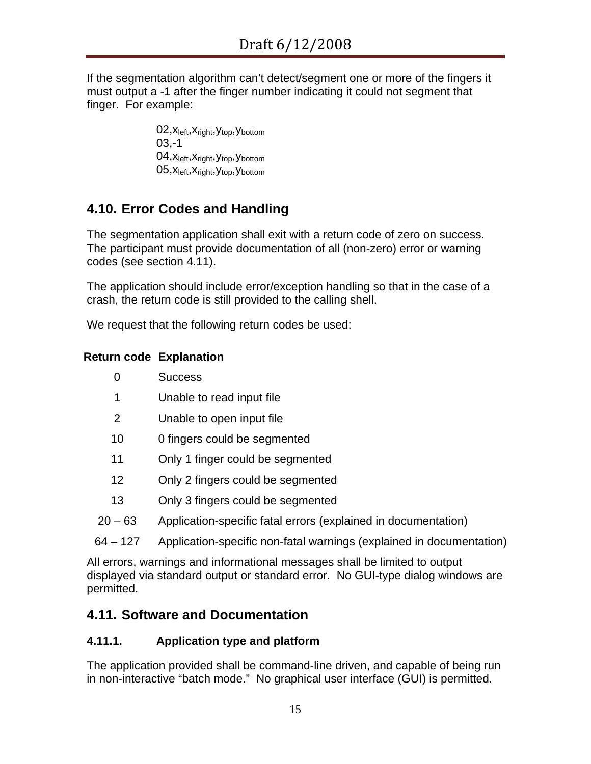If the segmentation algorithm can't detect/segment one or more of the fingers it must output a -1 after the finger number indicating it could not segment that finger. For example:

> 02, X<sub>left</sub>, X<sub>right</sub>, Y<sub>top</sub>, Y<sub>bottom</sub> 03,-1 04, X<sub>left</sub>, X<sub>right</sub>, Y<sub>top</sub>, Y<sub>bottom</sub> 05, X<sub>left</sub>, X<sub>right</sub>, Y<sub>top</sub>, Y<sub>bottom</sub>

# **4.10. Error Codes and Handling**

The segmentation application shall exit with a return code of zero on success. The participant must provide documentation of all (non-zero) error or warning codes (see section [4.11\)](#page-14-0).

The application should include error/exception handling so that in the case of a crash, the return code is still provided to the calling shell.

We request that the following return codes be used:

## **Return code Explanation**

- 1 Unable to read input file
- 2 Unable to open input file
- 10 0 fingers could be segmented
- 11 Only 1 finger could be segmented
- 12 Only 2 fingers could be segmented
- 13 Only 3 fingers could be segmented
- 20 63 Application-specific fatal errors (explained in documentation)
- 64 127 Application-specific non-fatal warnings (explained in documentation)

All errors, warnings and informational messages shall be limited to output displayed via standard output or standard error. No GUI-type dialog windows are permitted.

# <span id="page-14-0"></span>**4.11. Software and Documentation**

## **4.11.1. Application type and platform**

The application provided shall be command-line driven, and capable of being run in non-interactive "batch mode." No graphical user interface (GUI) is permitted.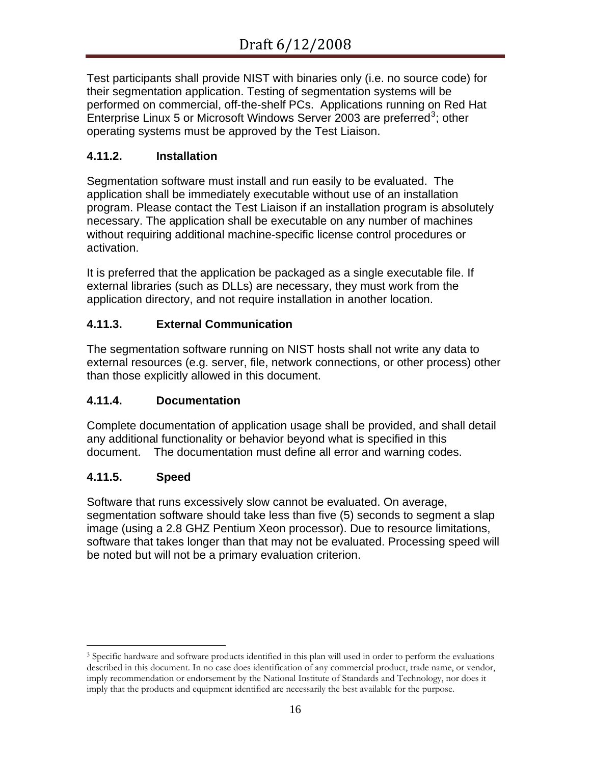Test participants shall provide NIST with binaries only (i.e. no source code) for their segmentation application. Testing of segmentation systems will be performed on commercial, off-the-shelf PCs. Applications running on Red Hat Enterprise Linux 5 or Microsoft Windows Server 200[3](#page-15-0) are preferred<sup>3</sup>; other operating systems must be approved by the Test Liaison.

### **4.11.2. Installation**

Segmentation software must install and run easily to be evaluated. The application shall be immediately executable without use of an installation program. Please contact the Test Liaison if an installation program is absolutely necessary. The application shall be executable on any number of machines without requiring additional machine-specific license control procedures or activation.

It is preferred that the application be packaged as a single executable file. If external libraries (such as DLLs) are necessary, they must work from the application directory, and not require installation in another location.

#### **4.11.3. External Communication**

The segmentation software running on NIST hosts shall not write any data to external resources (e.g. server, file, network connections, or other process) other than those explicitly allowed in this document.

### **4.11.4. Documentation**

Complete documentation of application usage shall be provided, and shall detail any additional functionality or behavior beyond what is specified in this document. The documentation must define all error and warning codes.

### **4.11.5. Speed**

 $\overline{a}$ 

Software that runs excessively slow cannot be evaluated. On average, segmentation software should take less than five (5) seconds to segment a slap image (using a 2.8 GHZ Pentium Xeon processor). Due to resource limitations, software that takes longer than that may not be evaluated. Processing speed will be noted but will not be a primary evaluation criterion.

<span id="page-15-0"></span><sup>&</sup>lt;sup>3</sup> Specific hardware and software products identified in this plan will used in order to perform the evaluations described in this document. In no case does identification of any commercial product, trade name, or vendor, imply recommendation or endorsement by the National Institute of Standards and Technology, nor does it imply that the products and equipment identified are necessarily the best available for the purpose.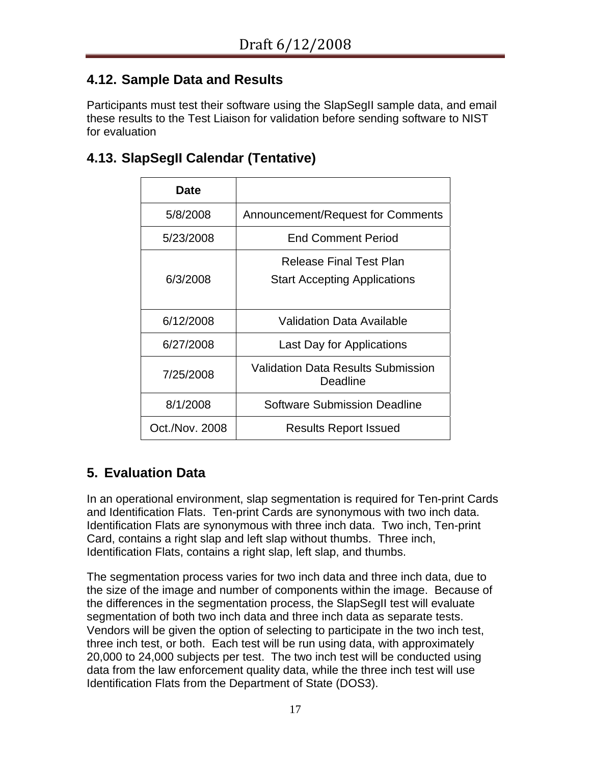# **4.12. Sample Data and Results**

Participants must test their software using the SlapSegII sample data, and email these results to the Test Liaison for validation before sending software to NIST for evaluation

# **4.13. SlapSegII Calendar (Tentative)**

| Date           |                                                       |  |  |
|----------------|-------------------------------------------------------|--|--|
| 5/8/2008       | Announcement/Request for Comments                     |  |  |
| 5/23/2008      | <b>End Comment Period</b>                             |  |  |
|                | Release Final Test Plan                               |  |  |
| 6/3/2008       | <b>Start Accepting Applications</b>                   |  |  |
|                |                                                       |  |  |
| 6/12/2008      | Validation Data Available                             |  |  |
| 6/27/2008      | Last Day for Applications                             |  |  |
| 7/25/2008      | <b>Validation Data Results Submission</b><br>Deadline |  |  |
| 8/1/2008       | Software Submission Deadline                          |  |  |
| Oct./Nov. 2008 | <b>Results Report Issued</b>                          |  |  |

# **5. Evaluation Data**

In an operational environment, slap segmentation is required for Ten-print Cards and Identification Flats. Ten-print Cards are synonymous with two inch data. Identification Flats are synonymous with three inch data. Two inch, Ten-print Card, contains a right slap and left slap without thumbs. Three inch, Identification Flats, contains a right slap, left slap, and thumbs.

The segmentation process varies for two inch data and three inch data, due to the size of the image and number of components within the image. Because of the differences in the segmentation process, the SlapSegII test will evaluate segmentation of both two inch data and three inch data as separate tests. Vendors will be given the option of selecting to participate in the two inch test, three inch test, or both. Each test will be run using data, with approximately 20,000 to 24,000 subjects per test. The two inch test will be conducted using data from the law enforcement quality data, while the three inch test will use Identification Flats from the Department of State (DOS3).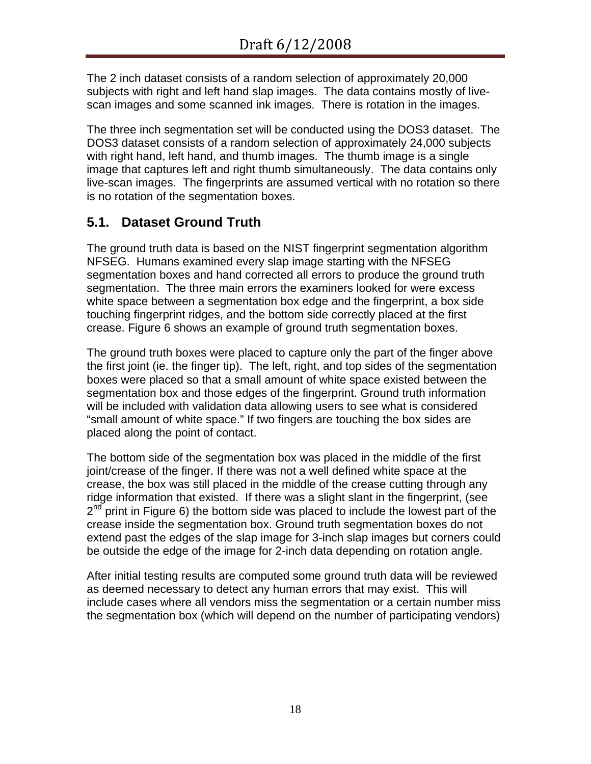The 2 inch dataset consists of a random selection of approximately 20,000 subjects with right and left hand slap images. The data contains mostly of livescan images and some scanned ink images. There is rotation in the images.

The three inch segmentation set will be conducted using the DOS3 dataset. The DOS3 dataset consists of a random selection of approximately 24,000 subjects with right hand, left hand, and thumb images. The thumb image is a single image that captures left and right thumb simultaneously. The data contains only live-scan images. The fingerprints are assumed vertical with no rotation so there is no rotation of the segmentation boxes.

# **5.1. Dataset Ground Truth**

The ground truth data is based on the NIST fingerprint segmentation algorithm NFSEG. Humans examined every slap image starting with the NFSEG segmentation boxes and hand corrected all errors to produce the ground truth segmentation. The three main errors the examiners looked for were excess white space between a segmentation box edge and the fingerprint, a box side touching fingerprint ridges, and the bottom side correctly placed at the first crease. [Figure 6](#page-18-0) shows an example of ground truth segmentation boxes.

The ground truth boxes were placed to capture only the part of the finger above the first joint (ie. the finger tip). The left, right, and top sides of the segmentation boxes were placed so that a small amount of white space existed between the segmentation box and those edges of the fingerprint. Ground truth information will be included with validation data allowing users to see what is considered "small amount of white space." If two fingers are touching the box sides are placed along the point of contact.

The bottom side of the segmentation box was placed in the middle of the first joint/crease of the finger. If there was not a well defined white space at the crease, the box was still placed in the middle of the crease cutting through any ridge information that existed. If there was a slight slant in the fingerprint, (see  $2<sup>nd</sup>$  print in [Figure 6](#page-18-0)) the bottom side was placed to include the lowest part of the crease inside the segmentation box. Ground truth segmentation boxes do not extend past the edges of the slap image for 3-inch slap images but corners could be outside the edge of the image for 2-inch data depending on rotation angle.

After initial testing results are computed some ground truth data will be reviewed as deemed necessary to detect any human errors that may exist. This will include cases where all vendors miss the segmentation or a certain number miss the segmentation box (which will depend on the number of participating vendors)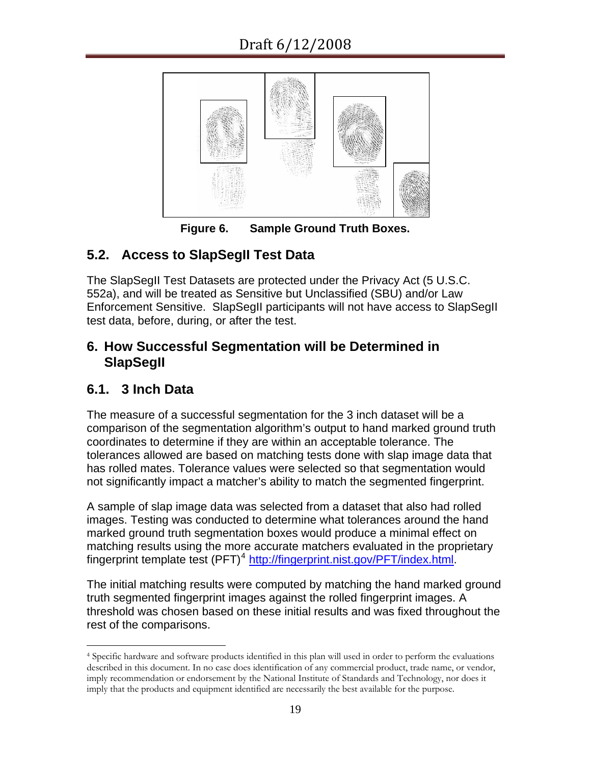

**Figure 6. Sample Ground Truth Boxes.** 

# <span id="page-18-0"></span>**5.2. Access to SlapSegII Test Data**

The SlapSegII Test Datasets are protected under the Privacy Act (5 U.S.C. 552a), and will be treated as Sensitive but Unclassified (SBU) and/or Law Enforcement Sensitive. SlapSegII participants will not have access to SlapSegII test data, before, during, or after the test.

## **6. How Successful Segmentation will be Determined in SlapSegII**

# **6.1. 3 Inch Data**

The measure of a successful segmentation for the 3 inch dataset will be a comparison of the segmentation algorithm's output to hand marked ground truth coordinates to determine if they are within an acceptable tolerance. The tolerances allowed are based on matching tests done with slap image data that has rolled mates. Tolerance values were selected so that segmentation would not significantly impact a matcher's ability to match the segmented fingerprint.

A sample of slap image data was selected from a dataset that also had rolled images. Testing was conducted to determine what tolerances around the hand marked ground truth segmentation boxes would produce a minimal effect on matching results using the more accurate matchers evaluated in the proprietary fingerprint template test  $(PFT)^4$  $(PFT)^4$  <http://fingerprint.nist.gov/PFT/index.html>.

The initial matching results were computed by matching the hand marked ground truth segmented fingerprint images against the rolled fingerprint images. A threshold was chosen based on these initial results and was fixed throughout the rest of the comparisons.

<span id="page-18-1"></span> $\overline{a}$ 4 Specific hardware and software products identified in this plan will used in order to perform the evaluations described in this document. In no case does identification of any commercial product, trade name, or vendor, imply recommendation or endorsement by the National Institute of Standards and Technology, nor does it imply that the products and equipment identified are necessarily the best available for the purpose.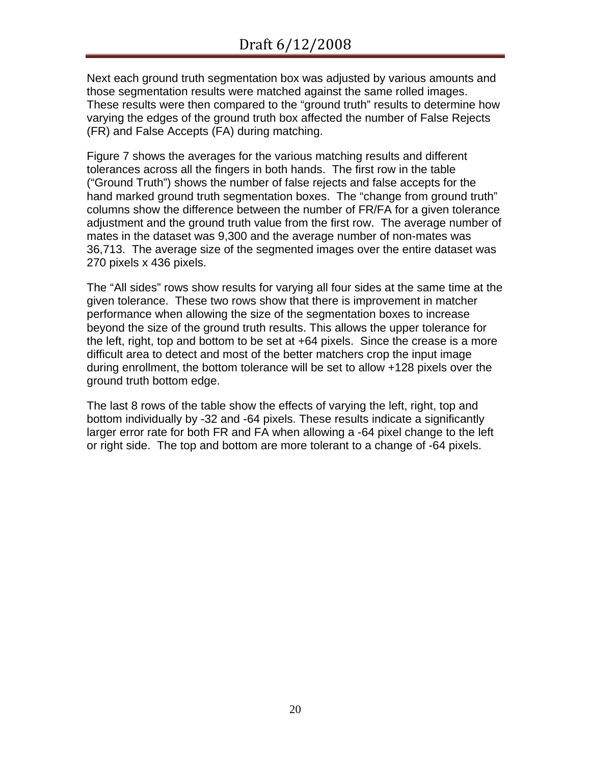Next each ground truth segmentation box was adjusted by various amounts and those segmentation results were matched against the same rolled images. These results were then compared to the "ground truth" results to determine how varying the edges of the ground truth box affected the number of False Rejects (FR) and False Accepts (FA) during matching.

[Figure 7](#page-20-0) shows the averages for the various matching results and different tolerances across all the fingers in both hands. The first row in the table ("Ground Truth") shows the number of false rejects and false accepts for the hand marked ground truth segmentation boxes. The "change from ground truth" columns show the difference between the number of FR/FA for a given tolerance adjustment and the ground truth value from the first row. The average number of mates in the dataset was 9,300 and the average number of non-mates was 36,713. The average size of the segmented images over the entire dataset was 270 pixels x 436 pixels.

The "All sides" rows show results for varying all four sides at the same time at the given tolerance. These two rows show that there is improvement in matcher performance when allowing the size of the segmentation boxes to increase beyond the size of the ground truth results. This allows the upper tolerance for the left, right, top and bottom to be set at +64 pixels. Since the crease is a more difficult area to detect and most of the better matchers crop the input image during enrollment, the bottom tolerance will be set to allow +128 pixels over the ground truth bottom edge.

The last 8 rows of the table show the effects of varying the left, right, top and bottom individually by -32 and -64 pixels. These results indicate a significantly larger error rate for both FR and FA when allowing a -64 pixel change to the left or right side. The top and bottom are more tolerant to a change of -64 pixels.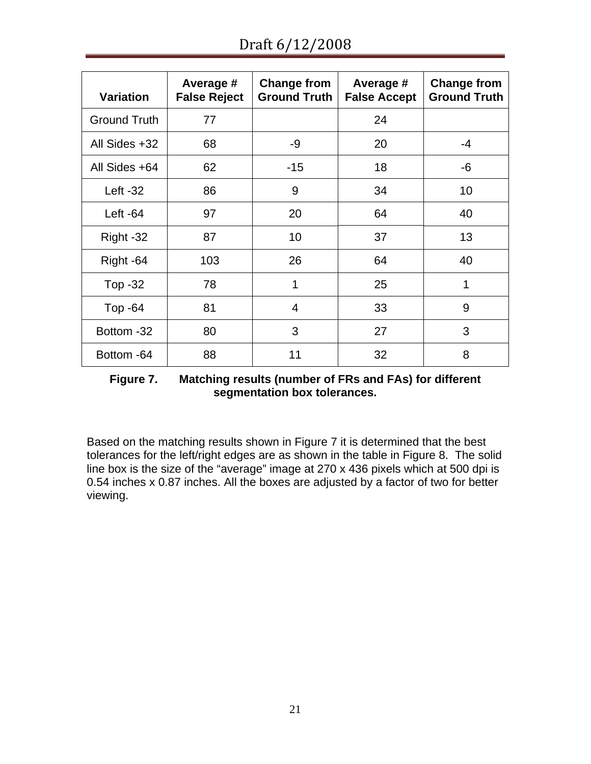Draft 6/12/2008

| <b>Variation</b>    | Average #<br><b>False Reject</b> | <b>Change from</b><br><b>Ground Truth</b> | Average #<br><b>False Accept</b> | <b>Change from</b><br><b>Ground Truth</b> |
|---------------------|----------------------------------|-------------------------------------------|----------------------------------|-------------------------------------------|
| <b>Ground Truth</b> | 77                               |                                           | 24                               |                                           |
| All Sides +32       | 68                               | -9                                        | 20                               | $-4$                                      |
| All Sides +64       | 62                               | $-15$                                     | 18                               | -6                                        |
| Left $-32$          | 86                               | 9                                         | 34                               | 10                                        |
| Left $-64$          | 97                               | 20                                        | 64                               | 40                                        |
| Right -32           | 87                               | 10                                        | 37                               | 13                                        |
| Right -64           | 103                              | 26                                        | 64                               | 40                                        |
| Top -32             | 78                               | 1                                         | 25                               | 1                                         |
| Top $-64$           | 81                               | $\overline{4}$                            | 33                               | 9                                         |
| Bottom -32          | 80                               | 3                                         | 27                               | 3                                         |
| Bottom -64          | 88                               | 11                                        | 32                               | 8                                         |

**Figure 7. Matching results (number of FRs and FAs) for different segmentation box tolerances.** 

<span id="page-20-0"></span>Based on the matching results shown in [Figure 7](#page-20-0) it is determined that the best tolerances for the left/right edges are as shown in the table in [Figure 8](#page-21-0). The solid line box is the size of the "average" image at 270 x 436 pixels which at 500 dpi is 0.54 inches x 0.87 inches. All the boxes are adjusted by a factor of two for better viewing.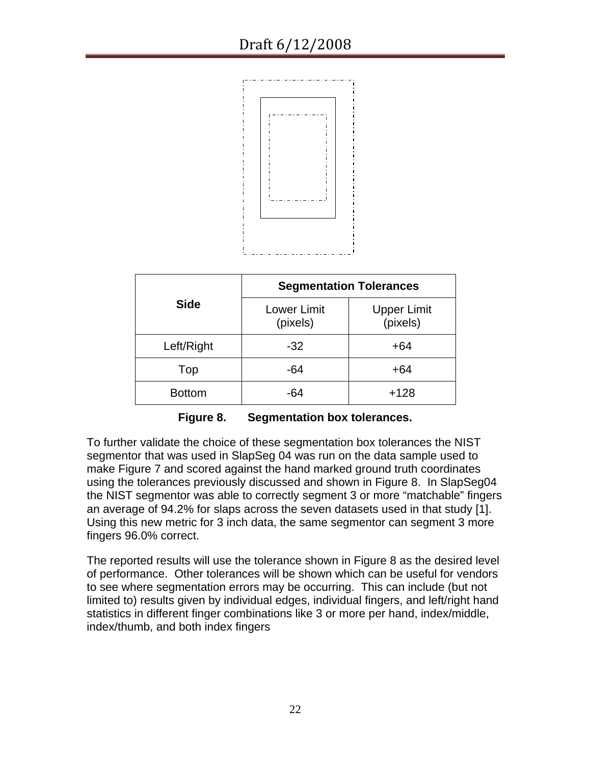

|               | <b>Segmentation Tolerances</b> |                                |  |
|---------------|--------------------------------|--------------------------------|--|
| <b>Side</b>   | <b>Lower Limit</b><br>(pixels) | <b>Upper Limit</b><br>(pixels) |  |
| Left/Right    | $-32$                          | $+64$                          |  |
| Top           | -64                            | $+64$                          |  |
| <b>Bottom</b> | -64                            | $+128$                         |  |

**Figure 8. Segmentation box tolerances.** 

<span id="page-21-0"></span>To further validate the choice of these segmentation box tolerances the NIST segmentor that was used in SlapSeg 04 was run on the data sample used to make [Figure 7](#page-20-0) and scored against the hand marked ground truth coordinates using the tolerances previously discussed and shown in [Figure 8.](#page-21-0) In SlapSeg04 the NIST segmentor was able to correctly segment 3 or more "matchable" fingers an average of 94.2% for slaps across the seven datasets used in that study [\[1\]](#page-22-0). Using this new metric for 3 inch data, the same segmentor can segment 3 more fingers 96.0% correct.

The reported results will use the tolerance shown in [Figure 8](#page-21-0) as the desired level of performance. Other tolerances will be shown which can be useful for vendors to see where segmentation errors may be occurring. This can include (but not limited to) results given by individual edges, individual fingers, and left/right hand statistics in different finger combinations like 3 or more per hand, index/middle, index/thumb, and both index fingers